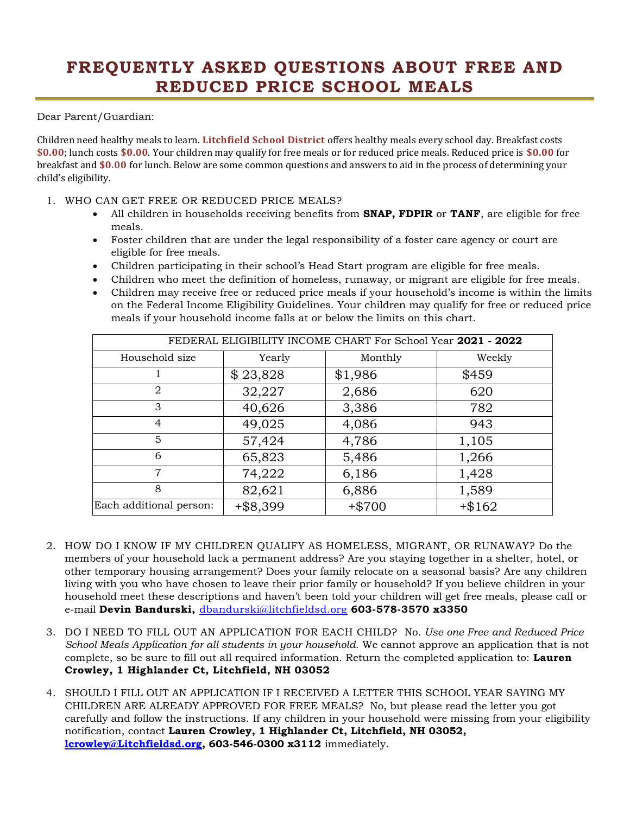## **FREQUENTLY ASKED QUESTIONS ABOUT FREE AND REDUCED PRICE SCHOOL MEALS**

Dear Parent/Guardian:

Children need healthy meals to learn. **Litchfield School District** offers healthy meals every school day. Breakfast costs **\$0.00**; lunch costs **\$0.00**. Your children may qualify for free meals or for reduced price meals. Reduced price is **\$0.00** for breakfast and **\$0.00** for lunch. Below are some common questions and answers to aid in the process of determining your child's eligibility.

- 1. WHO CAN GET FREE OR REDUCED PRICE MEALS?
	- All children in households receiving benefits from **SNAP, FDPIR** or **TANF**, are eligible for free meals.
	- Foster children that are under the legal responsibility of a foster care agency or court are eligible for free meals.
	- Children participating in their school's Head Start program are eligible for free meals.
	- Children who meet the definition of homeless, runaway, or migrant are eligible for free meals.
	- Children may receive free or reduced price meals if your household's income is within the limits on the Federal Income Eligibility Guidelines. Your children may qualify for free or reduced price meals if your household income falls at or below the limits on this chart.

| FEDERAL ELIGIBILITY INCOME CHART For School Year 2021 - 2022 |             |          |           |
|--------------------------------------------------------------|-------------|----------|-----------|
| Household size                                               | Yearly      | Monthly  | Weekly    |
|                                                              | \$23,828    | \$1,986  | \$459     |
| $\overline{2}$                                               | 32,227      | 2,686    | 620       |
| 3                                                            | 40,626      | 3,386    | 782       |
| $\overline{4}$                                               | 49,025      | 4,086    | 943       |
| 5                                                            | 57,424      | 4,786    | 1,105     |
| 6                                                            | 65,823      | 5,486    | 1,266     |
| $\overline{7}$                                               | 74,222      | 6,186    | 1,428     |
| 8                                                            | 82,621      | 6,886    | 1,589     |
| Each additional person:                                      | $+$ \$8,399 | $+ $700$ | $+$ \$162 |

- 2. HOW DO I KNOW IF MY CHILDREN QUALIFY AS HOMELESS, MIGRANT, OR RUNAWAY? Do the members of your household lack a permanent address? Are you staying together in a shelter, hotel, or other temporary housing arrangement? Does your family relocate on a seasonal basis? Are any children living with you who have chosen to leave their prior family or household? If you believe children in your household meet these descriptions and haven't been told your children will get free meals, please call or e-mail **Devin Bandurski,** [dbandurski@litchfieldsd.org](mailto:dbandurski@litchfieldsd.org) **603-578-3570 x3350**
- 3. DO I NEED TO FILL OUT AN APPLICATION FOR EACH CHILD? No. *Use one Free and Reduced Price School Meals Application for all students in your household.* We cannot approve an application that is not complete, so be sure to fill out all required information. Return the completed application to: **Lauren Crowley, 1 Highlander Ct, Litchfield, NH 03052**
- 4. SHOULD I FILL OUT AN APPLICATION IF I RECEIVED A LETTER THIS SCHOOL YEAR SAYING MY CHILDREN ARE ALREADY APPROVED FOR FREE MEALS? No, but please read the letter you got carefully and follow the instructions. If any children in your household were missing from your eligibility notification, contact **Lauren Crowley, 1 Highlander Ct, Litchfield, NH 03052, [lcrowley@Litchfieldsd.org,](mailto:lcrowley@Litchfieldsd.org) 603-546-0300 x3112** immediately.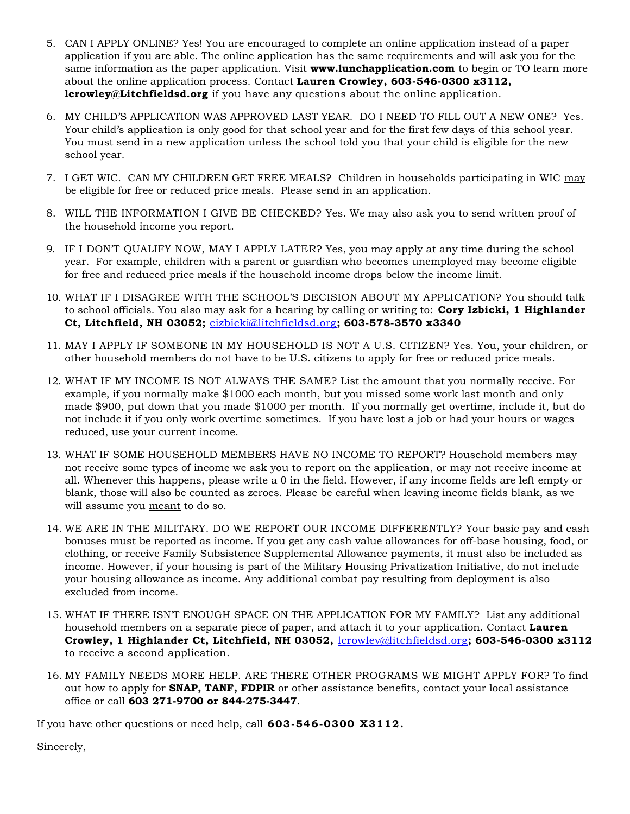- 5. CAN I APPLY ONLINE? Yes! You are encouraged to complete an online application instead of a paper application if you are able. The online application has the same requirements and will ask you for the same information as the paper application. Visit **www.lunchapplication.com** to begin or TO learn more about the online application process. Contact **Lauren Crowley, 603-546-0300 x3112, lcrowley@Litchfieldsd.org** if you have any questions about the online application.
- 6. MY CHILD'S APPLICATION WAS APPROVED LAST YEAR. DO I NEED TO FILL OUT A NEW ONE? Yes. Your child's application is only good for that school year and for the first few days of this school year. You must send in a new application unless the school told you that your child is eligible for the new school year.
- 7. I GET WIC. CAN MY CHILDREN GET FREE MEALS? Children in households participating in WIC may be eligible for free or reduced price meals. Please send in an application.
- 8. WILL THE INFORMATION I GIVE BE CHECKED? Yes. We may also ask you to send written proof of the household income you report.
- 9. IF I DON'T QUALIFY NOW, MAY I APPLY LATER? Yes, you may apply at any time during the school year. For example, children with a parent or guardian who becomes unemployed may become eligible for free and reduced price meals if the household income drops below the income limit.
- 10. WHAT IF I DISAGREE WITH THE SCHOOL'S DECISION ABOUT MY APPLICATION? You should talk to school officials. You also may ask for a hearing by calling or writing to: **Cory Izbicki, 1 Highlander Ct, Litchfield, NH 03052;** [cizbicki@litchfieldsd.org](mailto:cizbicki@litchfieldsd.org)**; 603-578-3570 x3340**
- 11. MAY I APPLY IF SOMEONE IN MY HOUSEHOLD IS NOT A U.S. CITIZEN? Yes. You, your children, or other household members do not have to be U.S. citizens to apply for free or reduced price meals.
- 12. WHAT IF MY INCOME IS NOT ALWAYS THE SAME? List the amount that you normally receive. For example, if you normally make \$1000 each month, but you missed some work last month and only made \$900, put down that you made \$1000 per month. If you normally get overtime, include it, but do not include it if you only work overtime sometimes. If you have lost a job or had your hours or wages reduced, use your current income.
- 13. WHAT IF SOME HOUSEHOLD MEMBERS HAVE NO INCOME TO REPORT? Household members may not receive some types of income we ask you to report on the application, or may not receive income at all. Whenever this happens, please write a 0 in the field. However, if any income fields are left empty or blank, those will also be counted as zeroes. Please be careful when leaving income fields blank, as we will assume you meant to do so.
- 14. WE ARE IN THE MILITARY. DO WE REPORT OUR INCOME DIFFERENTLY? Your basic pay and cash bonuses must be reported as income. If you get any cash value allowances for off-base housing, food, or clothing, or receive Family Subsistence Supplemental Allowance payments, it must also be included as income. However, if your housing is part of the Military Housing Privatization Initiative, do not include your housing allowance as income. Any additional combat pay resulting from deployment is also excluded from income.
- 15. WHAT IF THERE ISN'T ENOUGH SPACE ON THE APPLICATION FOR MY FAMILY? List any additional household members on a separate piece of paper, and attach it to your application. Contact **Lauren Crowley, 1 Highlander Ct, Litchfield, NH 03052,** [lcrowley@litchfieldsd.org](mailto:lcrowley@litchfieldsd.org)**; 603-546-0300 x3112** to receive a second application.
- 16. MY FAMILY NEEDS MORE HELP. ARE THERE OTHER PROGRAMS WE MIGHT APPLY FOR? To find out how to apply for **SNAP, TANF, FDPIR** or other assistance benefits, contact your local assistance office or call **603 271-9700 or 844-275-3447**.

If you have other questions or need help, call **603-546-0300 X3112.**

Sincerely,